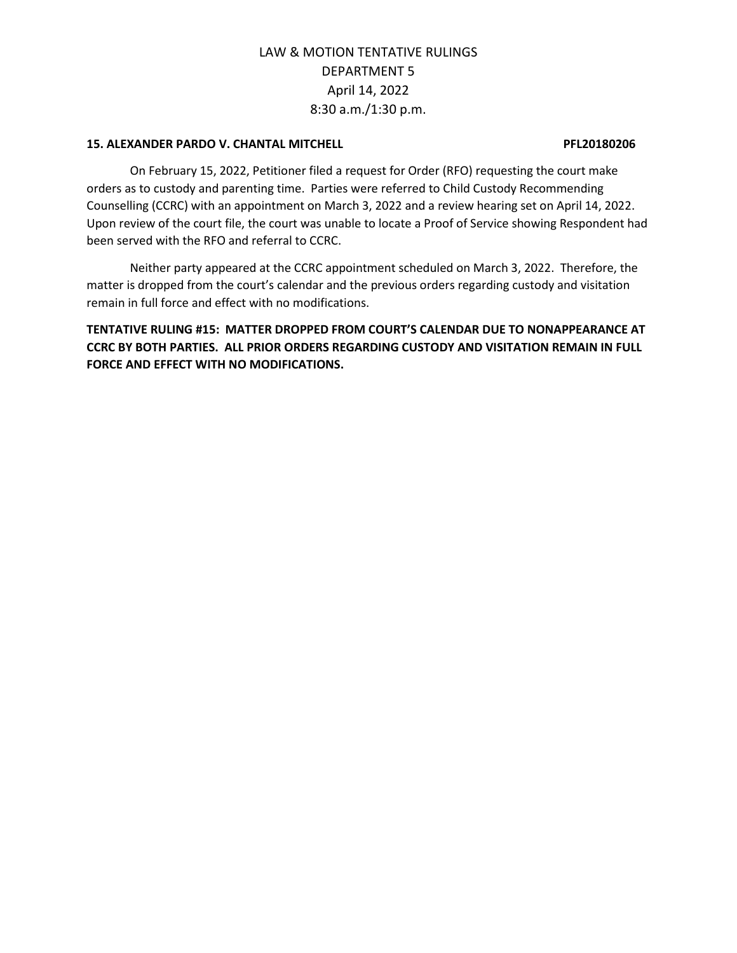## **15. ALEXANDER PARDO V. CHANTAL MITCHELL PFL20180206**

On February 15, 2022, Petitioner filed a request for Order (RFO) requesting the court make orders as to custody and parenting time. Parties were referred to Child Custody Recommending Counselling (CCRC) with an appointment on March 3, 2022 and a review hearing set on April 14, 2022. Upon review of the court file, the court was unable to locate a Proof of Service showing Respondent had been served with the RFO and referral to CCRC.

Neither party appeared at the CCRC appointment scheduled on March 3, 2022. Therefore, the matter is dropped from the court's calendar and the previous orders regarding custody and visitation remain in full force and effect with no modifications.

**TENTATIVE RULING #15: MATTER DROPPED FROM COURT'S CALENDAR DUE TO NONAPPEARANCE AT CCRC BY BOTH PARTIES. ALL PRIOR ORDERS REGARDING CUSTODY AND VISITATION REMAIN IN FULL FORCE AND EFFECT WITH NO MODIFICATIONS.**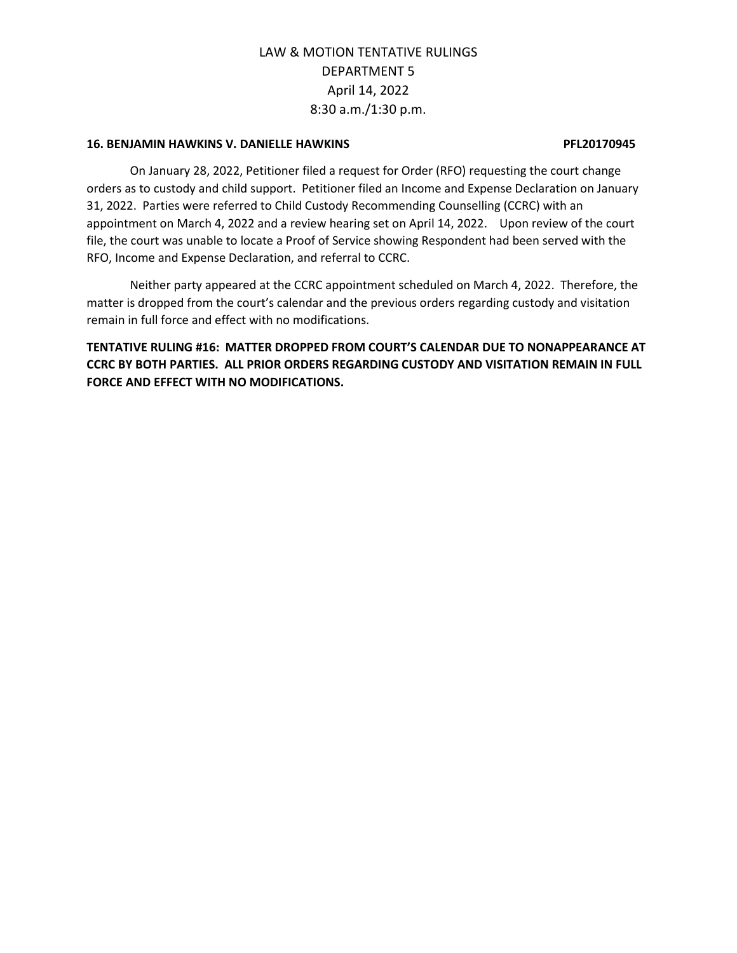## **16. BENJAMIN HAWKINS V. DANIELLE HAWKINS PFL20170945**

On January 28, 2022, Petitioner filed a request for Order (RFO) requesting the court change orders as to custody and child support. Petitioner filed an Income and Expense Declaration on January 31, 2022. Parties were referred to Child Custody Recommending Counselling (CCRC) with an appointment on March 4, 2022 and a review hearing set on April 14, 2022. Upon review of the court file, the court was unable to locate a Proof of Service showing Respondent had been served with the RFO, Income and Expense Declaration, and referral to CCRC.

Neither party appeared at the CCRC appointment scheduled on March 4, 2022. Therefore, the matter is dropped from the court's calendar and the previous orders regarding custody and visitation remain in full force and effect with no modifications.

**TENTATIVE RULING #16: MATTER DROPPED FROM COURT'S CALENDAR DUE TO NONAPPEARANCE AT CCRC BY BOTH PARTIES. ALL PRIOR ORDERS REGARDING CUSTODY AND VISITATION REMAIN IN FULL FORCE AND EFFECT WITH NO MODIFICATIONS.**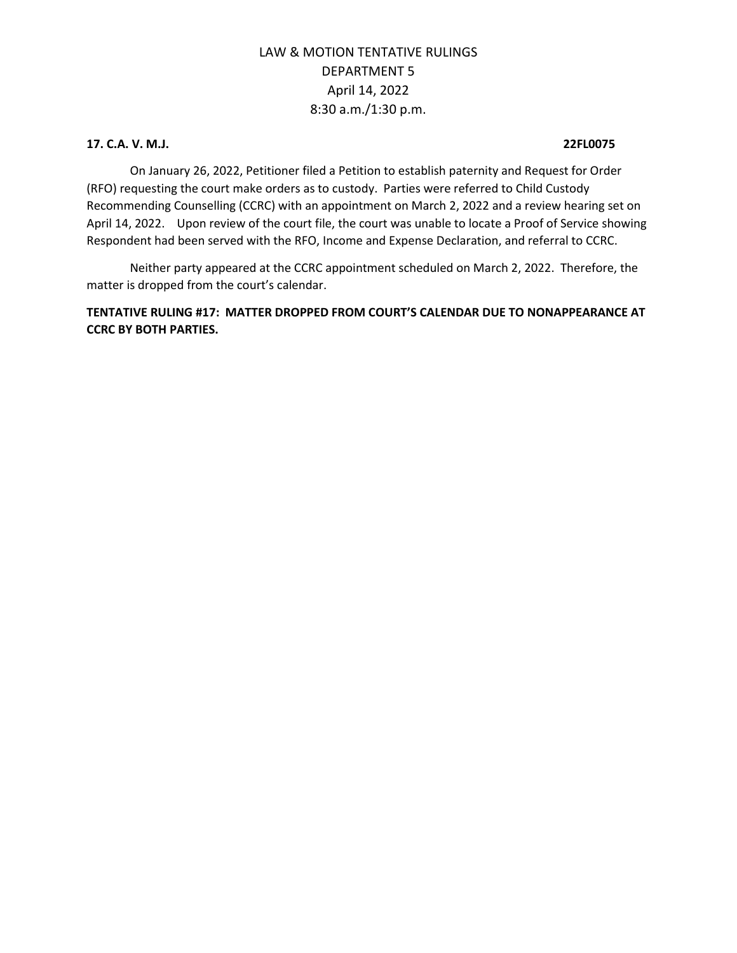## **17. C.A. V. M.J. 22FL0075**

On January 26, 2022, Petitioner filed a Petition to establish paternity and Request for Order (RFO) requesting the court make orders as to custody. Parties were referred to Child Custody Recommending Counselling (CCRC) with an appointment on March 2, 2022 and a review hearing set on April 14, 2022. Upon review of the court file, the court was unable to locate a Proof of Service showing Respondent had been served with the RFO, Income and Expense Declaration, and referral to CCRC.

Neither party appeared at the CCRC appointment scheduled on March 2, 2022. Therefore, the matter is dropped from the court's calendar.

**TENTATIVE RULING #17: MATTER DROPPED FROM COURT'S CALENDAR DUE TO NONAPPEARANCE AT CCRC BY BOTH PARTIES.**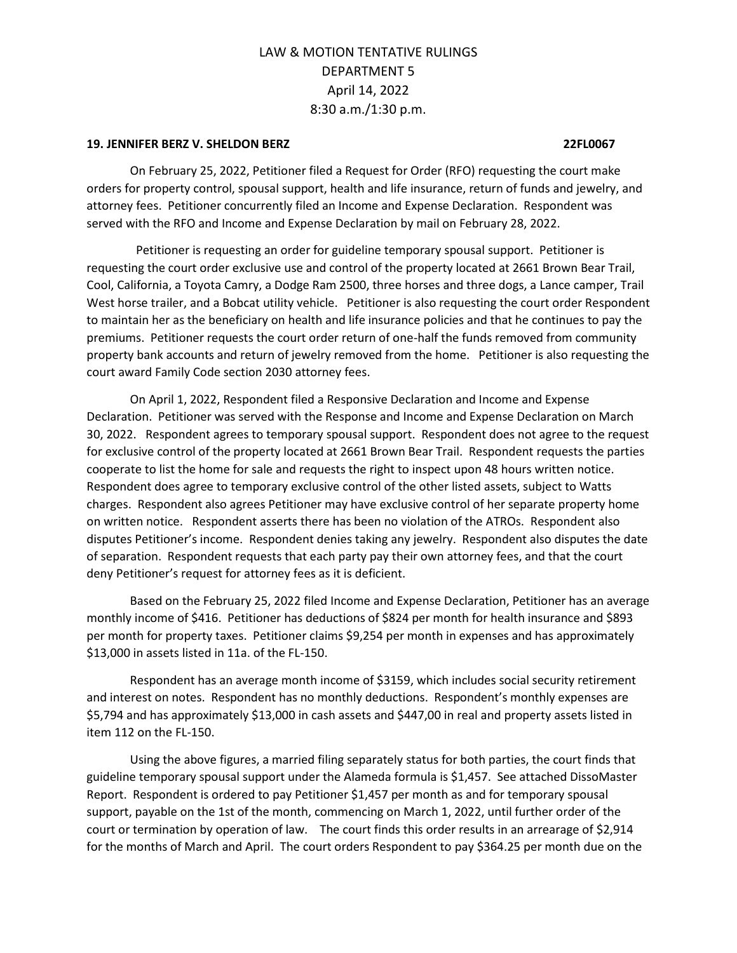### **19. JENNIFER BERZ V. SHELDON BERZ 22FL0067**

On February 25, 2022, Petitioner filed a Request for Order (RFO) requesting the court make orders for property control, spousal support, health and life insurance, return of funds and jewelry, and attorney fees. Petitioner concurrently filed an Income and Expense Declaration. Respondent was served with the RFO and Income and Expense Declaration by mail on February 28, 2022.

 Petitioner is requesting an order for guideline temporary spousal support. Petitioner is requesting the court order exclusive use and control of the property located at 2661 Brown Bear Trail, Cool, California, a Toyota Camry, a Dodge Ram 2500, three horses and three dogs, a Lance camper, Trail West horse trailer, and a Bobcat utility vehicle. Petitioner is also requesting the court order Respondent to maintain her as the beneficiary on health and life insurance policies and that he continues to pay the premiums. Petitioner requests the court order return of one-half the funds removed from community property bank accounts and return of jewelry removed from the home. Petitioner is also requesting the court award Family Code section 2030 attorney fees.

On April 1, 2022, Respondent filed a Responsive Declaration and Income and Expense Declaration. Petitioner was served with the Response and Income and Expense Declaration on March 30, 2022. Respondent agrees to temporary spousal support. Respondent does not agree to the request for exclusive control of the property located at 2661 Brown Bear Trail. Respondent requests the parties cooperate to list the home for sale and requests the right to inspect upon 48 hours written notice. Respondent does agree to temporary exclusive control of the other listed assets, subject to Watts charges. Respondent also agrees Petitioner may have exclusive control of her separate property home on written notice. Respondent asserts there has been no violation of the ATROs. Respondent also disputes Petitioner's income. Respondent denies taking any jewelry. Respondent also disputes the date of separation. Respondent requests that each party pay their own attorney fees, and that the court deny Petitioner's request for attorney fees as it is deficient.

Based on the February 25, 2022 filed Income and Expense Declaration, Petitioner has an average monthly income of \$416. Petitioner has deductions of \$824 per month for health insurance and \$893 per month for property taxes. Petitioner claims \$9,254 per month in expenses and has approximately \$13,000 in assets listed in 11a. of the FL-150.

Respondent has an average month income of \$3159, which includes social security retirement and interest on notes. Respondent has no monthly deductions. Respondent's monthly expenses are \$5,794 and has approximately \$13,000 in cash assets and \$447,00 in real and property assets listed in item 112 on the FL-150.

Using the above figures, a married filing separately status for both parties, the court finds that guideline temporary spousal support under the Alameda formula is \$1,457. See attached DissoMaster Report. Respondent is ordered to pay Petitioner \$1,457 per month as and for temporary spousal support, payable on the 1st of the month, commencing on March 1, 2022, until further order of the court or termination by operation of law. The court finds this order results in an arrearage of \$2,914 for the months of March and April. The court orders Respondent to pay \$364.25 per month due on the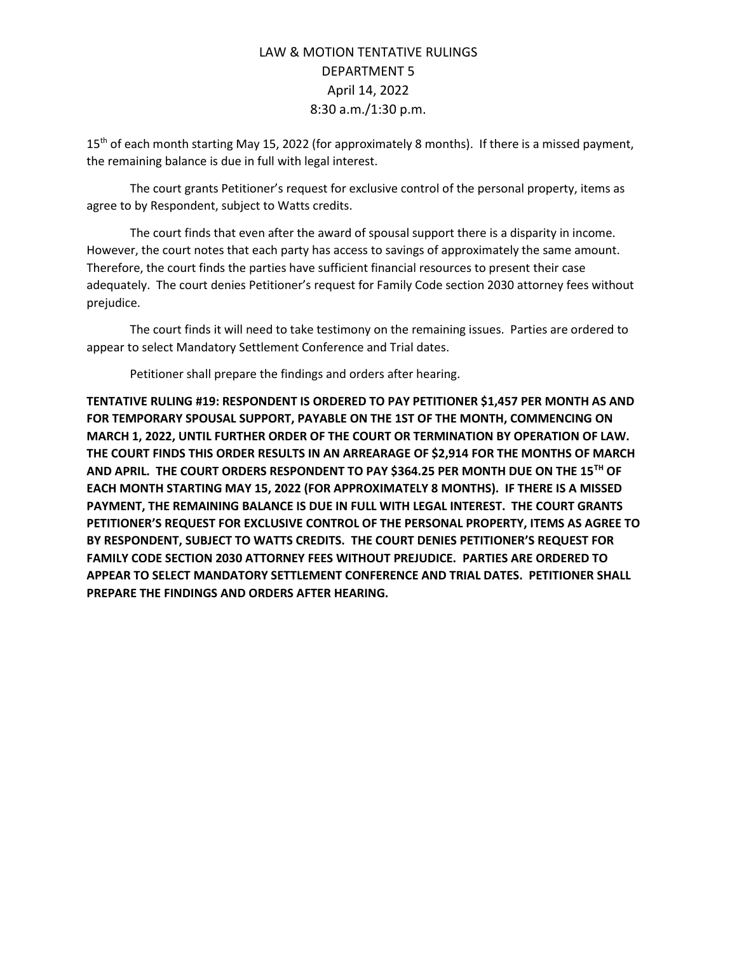15<sup>th</sup> of each month starting May 15, 2022 (for approximately 8 months). If there is a missed payment, the remaining balance is due in full with legal interest.

The court grants Petitioner's request for exclusive control of the personal property, items as agree to by Respondent, subject to Watts credits.

The court finds that even after the award of spousal support there is a disparity in income. However, the court notes that each party has access to savings of approximately the same amount. Therefore, the court finds the parties have sufficient financial resources to present their case adequately. The court denies Petitioner's request for Family Code section 2030 attorney fees without prejudice.

The court finds it will need to take testimony on the remaining issues. Parties are ordered to appear to select Mandatory Settlement Conference and Trial dates.

Petitioner shall prepare the findings and orders after hearing.

**TENTATIVE RULING #19: RESPONDENT IS ORDERED TO PAY PETITIONER \$1,457 PER MONTH AS AND FOR TEMPORARY SPOUSAL SUPPORT, PAYABLE ON THE 1ST OF THE MONTH, COMMENCING ON MARCH 1, 2022, UNTIL FURTHER ORDER OF THE COURT OR TERMINATION BY OPERATION OF LAW. THE COURT FINDS THIS ORDER RESULTS IN AN ARREARAGE OF \$2,914 FOR THE MONTHS OF MARCH AND APRIL. THE COURT ORDERS RESPONDENT TO PAY \$364.25 PER MONTH DUE ON THE 15TH OF EACH MONTH STARTING MAY 15, 2022 (FOR APPROXIMATELY 8 MONTHS). IF THERE IS A MISSED PAYMENT, THE REMAINING BALANCE IS DUE IN FULL WITH LEGAL INTEREST. THE COURT GRANTS PETITIONER'S REQUEST FOR EXCLUSIVE CONTROL OF THE PERSONAL PROPERTY, ITEMS AS AGREE TO BY RESPONDENT, SUBJECT TO WATTS CREDITS. THE COURT DENIES PETITIONER'S REQUEST FOR FAMILY CODE SECTION 2030 ATTORNEY FEES WITHOUT PREJUDICE. PARTIES ARE ORDERED TO APPEAR TO SELECT MANDATORY SETTLEMENT CONFERENCE AND TRIAL DATES. PETITIONER SHALL PREPARE THE FINDINGS AND ORDERS AFTER HEARING.**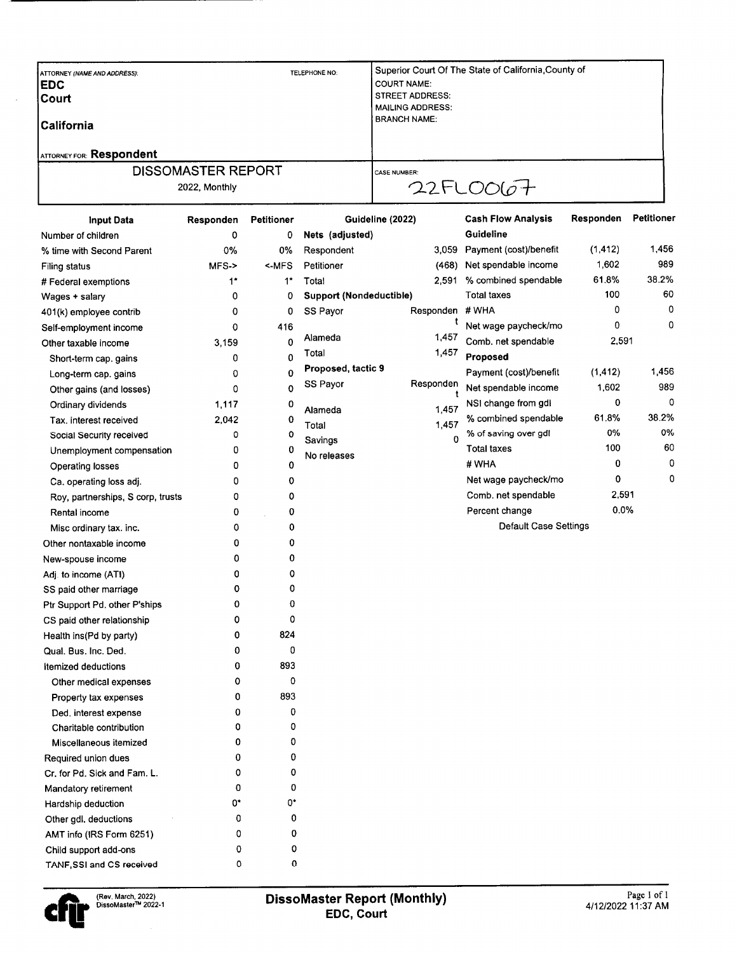| <b>Input Data</b>               | <b>Petitioner</b><br>Responden |               | Guideline (2022)                             | <b>Cash Flow Analysis</b>                           | Responden | <b>Petitioner</b> |
|---------------------------------|--------------------------------|---------------|----------------------------------------------|-----------------------------------------------------|-----------|-------------------|
|                                 | 2022. Monthly                  |               |                                              | 22FLOO07                                            |           |                   |
|                                 | <b>DISSOMASTER REPORT</b>      |               | <b>CASE NUMBER:</b>                          |                                                     |           |                   |
| <b>ATTORNEY FOR: Respondent</b> |                                |               |                                              |                                                     |           |                   |
| lCalifornia                     |                                |               | <b>BRANCH NAME:</b>                          |                                                     |           |                   |
| lCourt                          |                                |               | <b>MAILING ADDRESS:</b>                      |                                                     |           |                   |
| <b>IEDC</b>                     |                                |               | <b>COURT NAME:</b><br><b>STREET ADDRESS:</b> |                                                     |           |                   |
| ATTORNEY (NAME AND ADDRESS):    |                                | TELEPHONE NO: |                                              | Superior Court Of The State of California County of |           |                   |

| Number of children                | 0      | 0           | Nets (adjusted)                |           | Guideline                    |          |       |
|-----------------------------------|--------|-------------|--------------------------------|-----------|------------------------------|----------|-------|
| % time with Second Parent         | 0%     | 0%          | Respondent                     | 3,059     | Payment (cost)/benefit       | (1, 412) | 1,456 |
| Filing status                     | $MFS-$ | $<$ MFS     | Petitioner                     | (468)     | Net spendable income         | 1,602    | 989   |
| # Federal exemptions              | $1^*$  | $1^{\star}$ | Total                          | 2,591     | % combined spendable         | 61.8%    | 38.2% |
| Wages + salary                    | 0      | 0           | <b>Support (Nondeductible)</b> |           | <b>Total taxes</b>           | 100      | 60    |
| 401(k) employee contrib           | 0      | 0           | SS Payor                       | Responden | # WHA                        | 0        | 0     |
| Self-employment income            | 0      | 416         |                                | t         | Net wage paycheck/mo         | 0        | 0     |
| Other taxable income              | 3,159  | 0           | Alameda                        | 1,457     | Comb. net spendable          | 2,591    |       |
| Short-term cap. gains             | 0      | 0           | Total                          | 1,457     | Proposed                     |          |       |
| Long-term cap. gains              | 0      | $\mathbf 0$ | Proposed, tactic 9             |           | Payment (cost)/benefit       | (1, 412) | 1,456 |
| Other gains (and losses)          | 0      | $\mathbf 0$ | SS Payor                       | Responden | Net spendable income         | 1,602    | 989   |
| Ordinary dividends                | 1,117  | 0           | Alameda                        | 1,457     | NSI change from gdl          | 0        | 0     |
| Tax. interest received            | 2,042  | 0           | Total                          | 1,457     | % combined spendable         | 61.8%    | 38.2% |
| Social Security received          | 0      | 0           | Savings                        | 0         | % of saving over gdl         | 0%       | 0%    |
| Unemployment compensation         | 0      | 0           | No releases                    |           | <b>Total taxes</b>           | 100      | 60    |
| Operating losses                  | 0      | 0           |                                |           | # WHA                        | 0        | 0     |
| Ca. operating loss adj.           | 0      | 0           |                                |           | Net wage paycheck/mo         | 0        | 0     |
| Roy, partnerships, S corp, trusts | 0      | 0           |                                |           | Comb. net spendable          | 2,591    |       |
| Rental income                     | 0      | 0           |                                |           | Percent change               | 0.0%     |       |
| Misc ordinary tax. inc.           | 0      | 0           |                                |           | <b>Default Case Settings</b> |          |       |
| Other nontaxable income           | 0      | 0           |                                |           |                              |          |       |
| New-spouse income                 | 0      | 0           |                                |           |                              |          |       |
| Adj. to income (ATI)              | 0      | 0           |                                |           |                              |          |       |
| SS paid other marriage            | 0      | 0           |                                |           |                              |          |       |
| Ptr Support Pd. other P'ships     | 0      | 0           |                                |           |                              |          |       |
| CS paid other relationship        | 0      | 0           |                                |           |                              |          |       |
| Health ins(Pd by party)           | 0      | 824         |                                |           |                              |          |       |
| Qual. Bus. Inc. Ded.              | 0      | 0           |                                |           |                              |          |       |
| <b>Itemized deductions</b>        | 0      | 893         |                                |           |                              |          |       |
| Other medical expenses            | 0      | 0           |                                |           |                              |          |       |
| Property tax expenses             | 0      | 893         |                                |           |                              |          |       |
| Ded. interest expense             | 0      | 0           |                                |           |                              |          |       |
| Charitable contribution           | 0      | 0           |                                |           |                              |          |       |
| Miscellaneous itemized            | 0      | 0           |                                |           |                              |          |       |
| Required union dues               | 0      | 0           |                                |           |                              |          |       |
| Cr. for Pd. Sick and Fam. L.      | 0      | 0           |                                |           |                              |          |       |
| Mandatory retirement              | 0      | 0           |                                |           |                              |          |       |
| Hardship deduction                | 0*     | 0*          |                                |           |                              |          |       |
| Other gdl. deductions             | 0      | 0           |                                |           |                              |          |       |
| AMT info (IRS Form 6251)          | 0      | 0           |                                |           |                              |          |       |
| Child support add-ons             | 0      | 0           |                                |           |                              |          |       |
| TANF, SSI and CS received         | 0      | 0           |                                |           |                              |          |       |

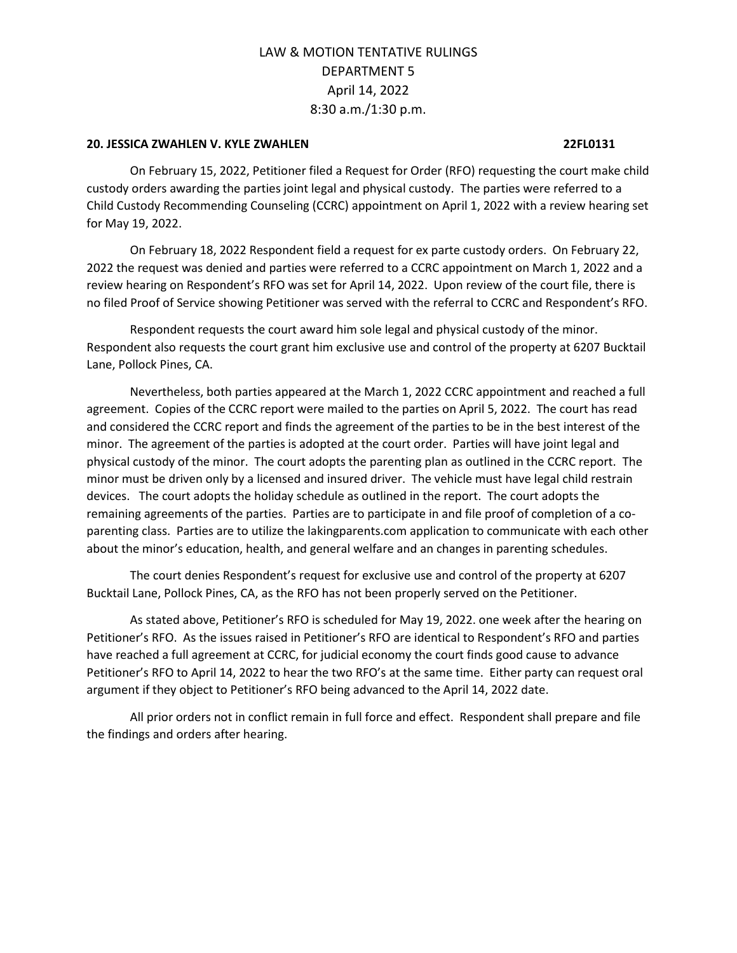## **20. JESSICA ZWAHLEN V. KYLE ZWAHLEN 22FL0131**

On February 15, 2022, Petitioner filed a Request for Order (RFO) requesting the court make child custody orders awarding the parties joint legal and physical custody. The parties were referred to a Child Custody Recommending Counseling (CCRC) appointment on April 1, 2022 with a review hearing set for May 19, 2022.

On February 18, 2022 Respondent field a request for ex parte custody orders. On February 22, 2022 the request was denied and parties were referred to a CCRC appointment on March 1, 2022 and a review hearing on Respondent's RFO was set for April 14, 2022. Upon review of the court file, there is no filed Proof of Service showing Petitioner was served with the referral to CCRC and Respondent's RFO.

Respondent requests the court award him sole legal and physical custody of the minor. Respondent also requests the court grant him exclusive use and control of the property at 6207 Bucktail Lane, Pollock Pines, CA.

Nevertheless, both parties appeared at the March 1, 2022 CCRC appointment and reached a full agreement. Copies of the CCRC report were mailed to the parties on April 5, 2022. The court has read and considered the CCRC report and finds the agreement of the parties to be in the best interest of the minor. The agreement of the parties is adopted at the court order. Parties will have joint legal and physical custody of the minor. The court adopts the parenting plan as outlined in the CCRC report. The minor must be driven only by a licensed and insured driver. The vehicle must have legal child restrain devices. The court adopts the holiday schedule as outlined in the report. The court adopts the remaining agreements of the parties. Parties are to participate in and file proof of completion of a coparenting class. Parties are to utilize the lakingparents.com application to communicate with each other about the minor's education, health, and general welfare and an changes in parenting schedules.

The court denies Respondent's request for exclusive use and control of the property at 6207 Bucktail Lane, Pollock Pines, CA, as the RFO has not been properly served on the Petitioner.

As stated above, Petitioner's RFO is scheduled for May 19, 2022. one week after the hearing on Petitioner's RFO. As the issues raised in Petitioner's RFO are identical to Respondent's RFO and parties have reached a full agreement at CCRC, for judicial economy the court finds good cause to advance Petitioner's RFO to April 14, 2022 to hear the two RFO's at the same time. Either party can request oral argument if they object to Petitioner's RFO being advanced to the April 14, 2022 date.

All prior orders not in conflict remain in full force and effect. Respondent shall prepare and file the findings and orders after hearing.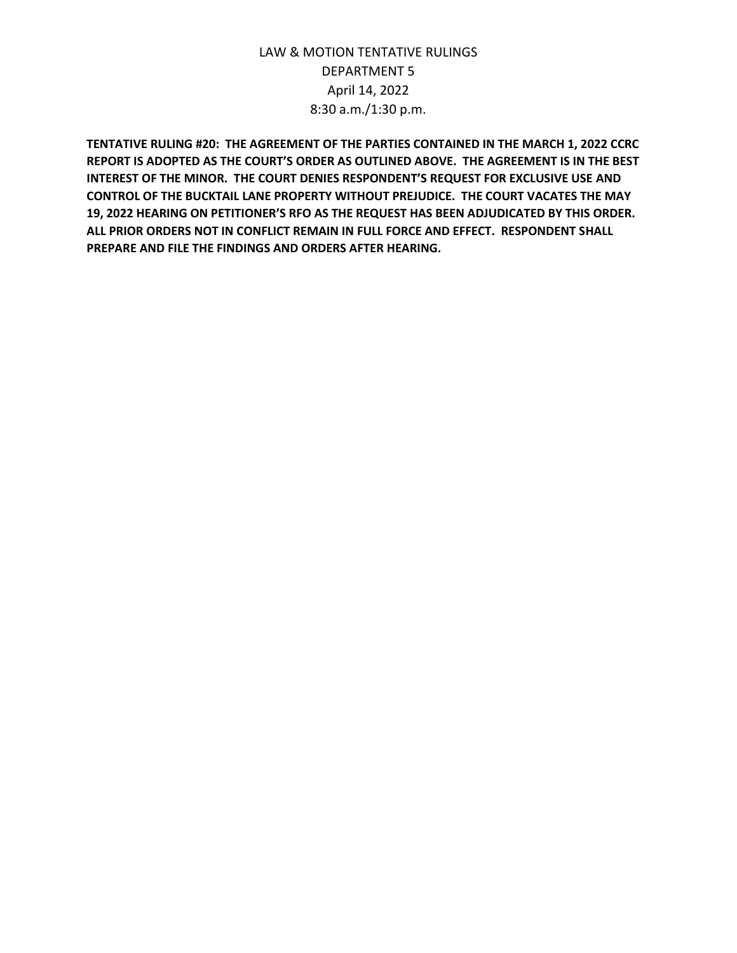**TENTATIVE RULING #20: THE AGREEMENT OF THE PARTIES CONTAINED IN THE MARCH 1, 2022 CCRC REPORT IS ADOPTED AS THE COURT'S ORDER AS OUTLINED ABOVE. THE AGREEMENT IS IN THE BEST INTEREST OF THE MINOR. THE COURT DENIES RESPONDENT'S REQUEST FOR EXCLUSIVE USE AND CONTROL OF THE BUCKTAIL LANE PROPERTY WITHOUT PREJUDICE. THE COURT VACATES THE MAY 19, 2022 HEARING ON PETITIONER'S RFO AS THE REQUEST HAS BEEN ADJUDICATED BY THIS ORDER. ALL PRIOR ORDERS NOT IN CONFLICT REMAIN IN FULL FORCE AND EFFECT. RESPONDENT SHALL PREPARE AND FILE THE FINDINGS AND ORDERS AFTER HEARING.**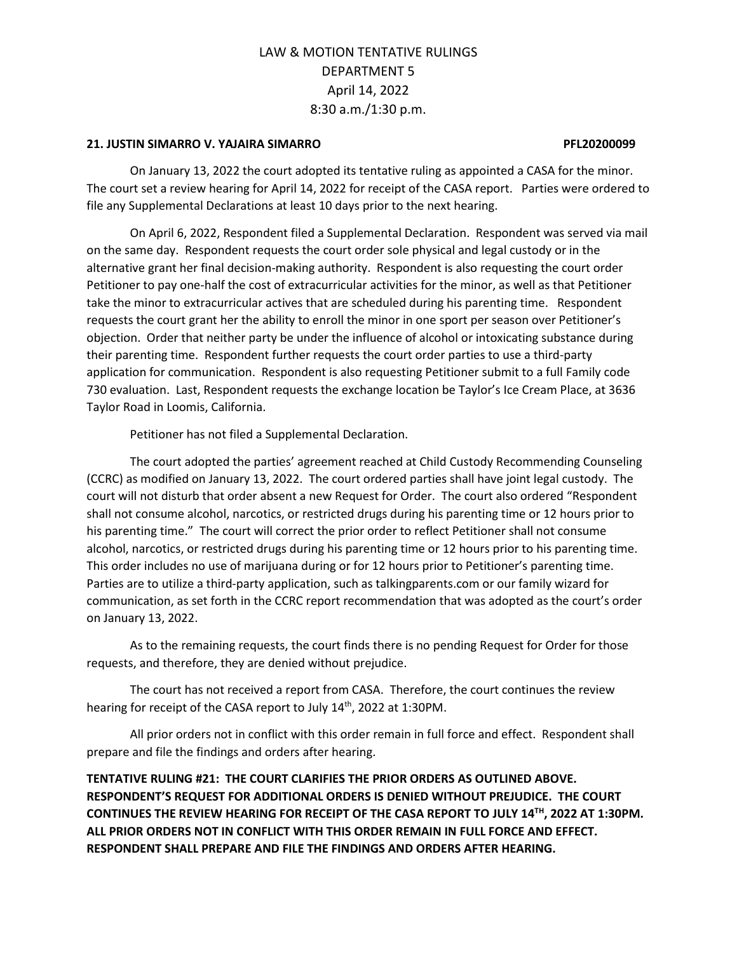## **21. JUSTIN SIMARRO V. YAJAIRA SIMARRO PFL20200099**

On January 13, 2022 the court adopted its tentative ruling as appointed a CASA for the minor. The court set a review hearing for April 14, 2022 for receipt of the CASA report. Parties were ordered to file any Supplemental Declarations at least 10 days prior to the next hearing.

On April 6, 2022, Respondent filed a Supplemental Declaration. Respondent was served via mail on the same day. Respondent requests the court order sole physical and legal custody or in the alternative grant her final decision-making authority. Respondent is also requesting the court order Petitioner to pay one-half the cost of extracurricular activities for the minor, as well as that Petitioner take the minor to extracurricular actives that are scheduled during his parenting time. Respondent requests the court grant her the ability to enroll the minor in one sport per season over Petitioner's objection. Order that neither party be under the influence of alcohol or intoxicating substance during their parenting time. Respondent further requests the court order parties to use a third-party application for communication. Respondent is also requesting Petitioner submit to a full Family code 730 evaluation. Last, Respondent requests the exchange location be Taylor's Ice Cream Place, at 3636 Taylor Road in Loomis, California.

Petitioner has not filed a Supplemental Declaration.

The court adopted the parties' agreement reached at Child Custody Recommending Counseling (CCRC) as modified on January 13, 2022. The court ordered parties shall have joint legal custody. The court will not disturb that order absent a new Request for Order. The court also ordered "Respondent shall not consume alcohol, narcotics, or restricted drugs during his parenting time or 12 hours prior to his parenting time." The court will correct the prior order to reflect Petitioner shall not consume alcohol, narcotics, or restricted drugs during his parenting time or 12 hours prior to his parenting time. This order includes no use of marijuana during or for 12 hours prior to Petitioner's parenting time. Parties are to utilize a third-party application, such as talkingparents.com or our family wizard for communication, as set forth in the CCRC report recommendation that was adopted as the court's order on January 13, 2022.

As to the remaining requests, the court finds there is no pending Request for Order for those requests, and therefore, they are denied without prejudice.

The court has not received a report from CASA. Therefore, the court continues the review hearing for receipt of the CASA report to July 14<sup>th</sup>, 2022 at 1:30PM.

All prior orders not in conflict with this order remain in full force and effect. Respondent shall prepare and file the findings and orders after hearing.

**TENTATIVE RULING #21: THE COURT CLARIFIES THE PRIOR ORDERS AS OUTLINED ABOVE. RESPONDENT'S REQUEST FOR ADDITIONAL ORDERS IS DENIED WITHOUT PREJUDICE. THE COURT CONTINUES THE REVIEW HEARING FOR RECEIPT OF THE CASA REPORT TO JULY 14TH, 2022 AT 1:30PM. ALL PRIOR ORDERS NOT IN CONFLICT WITH THIS ORDER REMAIN IN FULL FORCE AND EFFECT. RESPONDENT SHALL PREPARE AND FILE THE FINDINGS AND ORDERS AFTER HEARING.**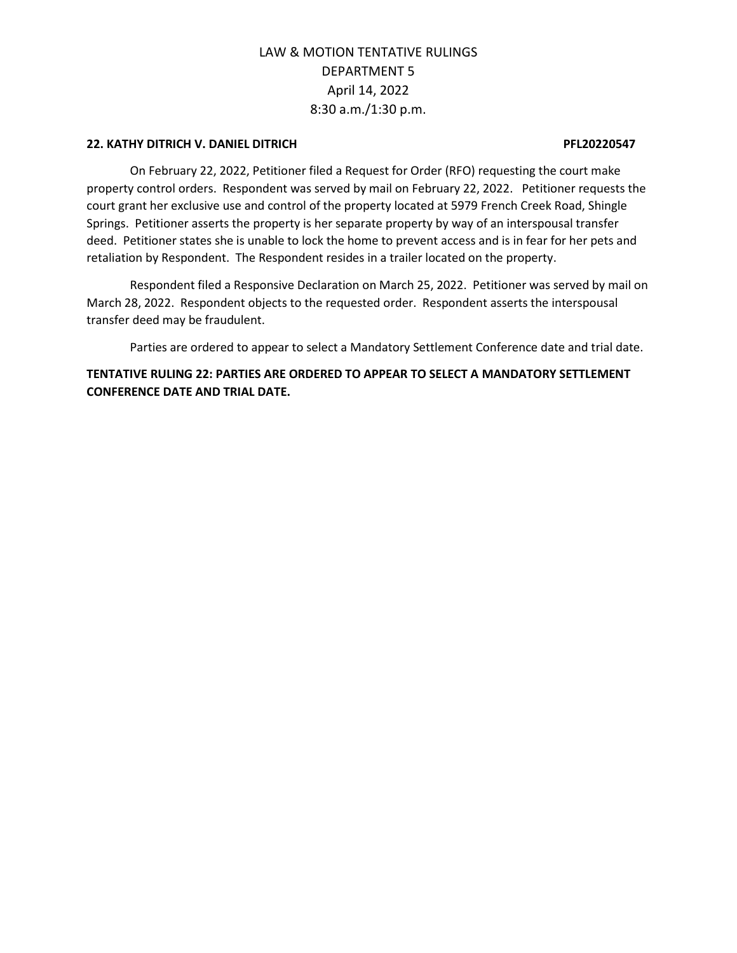## **22. KATHY DITRICH V. DANIEL DITRICH PFL20220547**

On February 22, 2022, Petitioner filed a Request for Order (RFO) requesting the court make property control orders. Respondent was served by mail on February 22, 2022. Petitioner requests the court grant her exclusive use and control of the property located at 5979 French Creek Road, Shingle Springs. Petitioner asserts the property is her separate property by way of an interspousal transfer deed. Petitioner states she is unable to lock the home to prevent access and is in fear for her pets and retaliation by Respondent. The Respondent resides in a trailer located on the property.

Respondent filed a Responsive Declaration on March 25, 2022. Petitioner was served by mail on March 28, 2022. Respondent objects to the requested order. Respondent asserts the interspousal transfer deed may be fraudulent.

Parties are ordered to appear to select a Mandatory Settlement Conference date and trial date.

**TENTATIVE RULING 22: PARTIES ARE ORDERED TO APPEAR TO SELECT A MANDATORY SETTLEMENT CONFERENCE DATE AND TRIAL DATE.**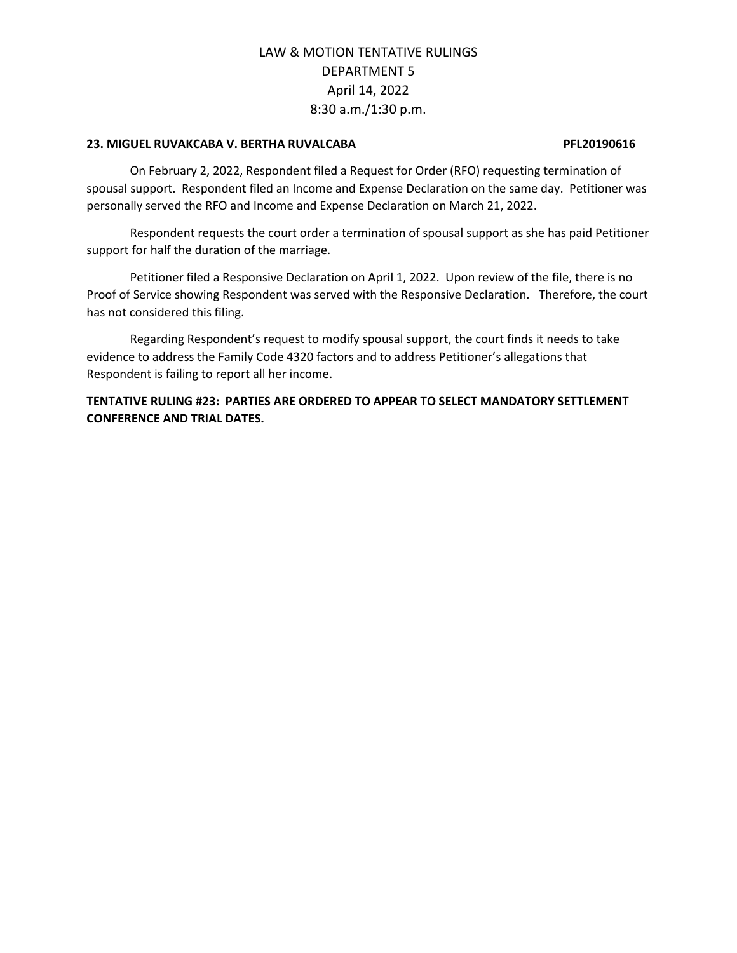## **23. MIGUEL RUVAKCABA V. BERTHA RUVALCABA PFL20190616**

On February 2, 2022, Respondent filed a Request for Order (RFO) requesting termination of spousal support. Respondent filed an Income and Expense Declaration on the same day. Petitioner was personally served the RFO and Income and Expense Declaration on March 21, 2022.

Respondent requests the court order a termination of spousal support as she has paid Petitioner support for half the duration of the marriage.

Petitioner filed a Responsive Declaration on April 1, 2022. Upon review of the file, there is no Proof of Service showing Respondent was served with the Responsive Declaration. Therefore, the court has not considered this filing.

Regarding Respondent's request to modify spousal support, the court finds it needs to take evidence to address the Family Code 4320 factors and to address Petitioner's allegations that Respondent is failing to report all her income.

**TENTATIVE RULING #23: PARTIES ARE ORDERED TO APPEAR TO SELECT MANDATORY SETTLEMENT CONFERENCE AND TRIAL DATES.**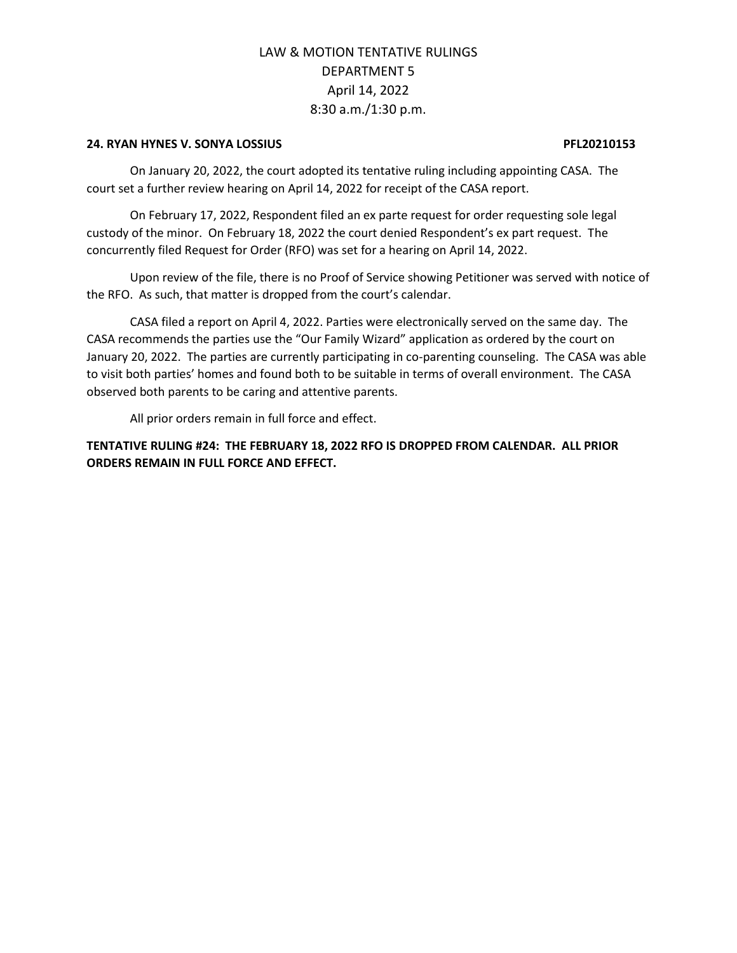## **24. RYAN HYNES V. SONYA LOSSIUS PFL20210153**

On January 20, 2022, the court adopted its tentative ruling including appointing CASA. The court set a further review hearing on April 14, 2022 for receipt of the CASA report.

On February 17, 2022, Respondent filed an ex parte request for order requesting sole legal custody of the minor. On February 18, 2022 the court denied Respondent's ex part request. The concurrently filed Request for Order (RFO) was set for a hearing on April 14, 2022.

Upon review of the file, there is no Proof of Service showing Petitioner was served with notice of the RFO. As such, that matter is dropped from the court's calendar.

CASA filed a report on April 4, 2022. Parties were electronically served on the same day. The CASA recommends the parties use the "Our Family Wizard" application as ordered by the court on January 20, 2022. The parties are currently participating in co-parenting counseling. The CASA was able to visit both parties' homes and found both to be suitable in terms of overall environment. The CASA observed both parents to be caring and attentive parents.

All prior orders remain in full force and effect.

**TENTATIVE RULING #24: THE FEBRUARY 18, 2022 RFO IS DROPPED FROM CALENDAR. ALL PRIOR ORDERS REMAIN IN FULL FORCE AND EFFECT.**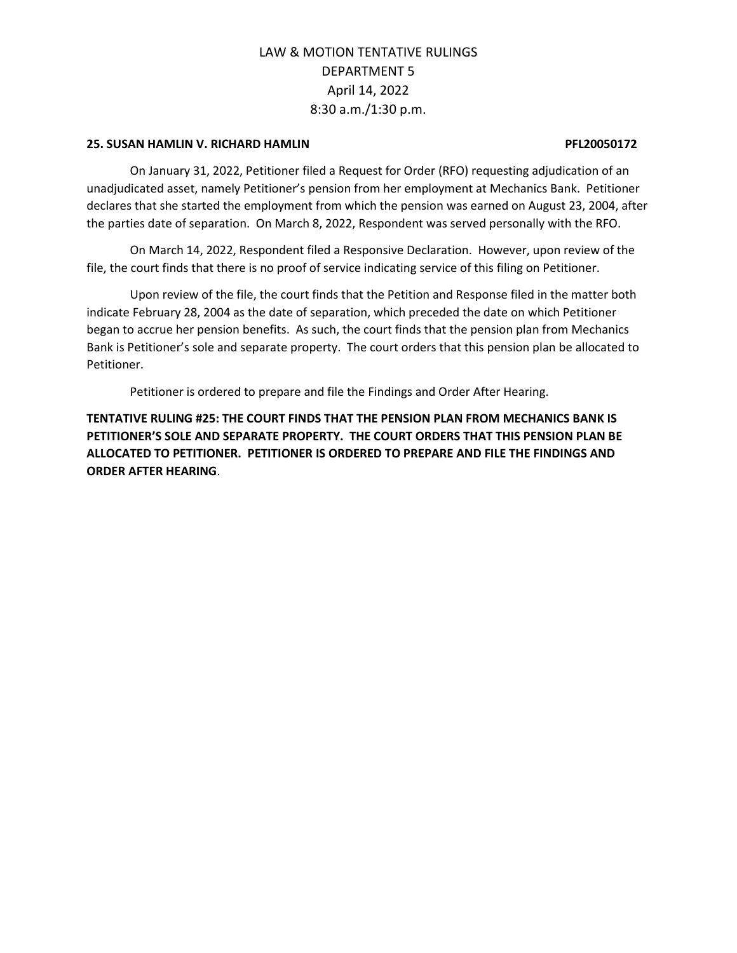## **25. SUSAN HAMLIN V. RICHARD HAMLIN PFL20050172**

On January 31, 2022, Petitioner filed a Request for Order (RFO) requesting adjudication of an unadjudicated asset, namely Petitioner's pension from her employment at Mechanics Bank. Petitioner declares that she started the employment from which the pension was earned on August 23, 2004, after the parties date of separation. On March 8, 2022, Respondent was served personally with the RFO.

On March 14, 2022, Respondent filed a Responsive Declaration. However, upon review of the file, the court finds that there is no proof of service indicating service of this filing on Petitioner.

Upon review of the file, the court finds that the Petition and Response filed in the matter both indicate February 28, 2004 as the date of separation, which preceded the date on which Petitioner began to accrue her pension benefits. As such, the court finds that the pension plan from Mechanics Bank is Petitioner's sole and separate property. The court orders that this pension plan be allocated to Petitioner.

Petitioner is ordered to prepare and file the Findings and Order After Hearing.

**TENTATIVE RULING #25: THE COURT FINDS THAT THE PENSION PLAN FROM MECHANICS BANK IS PETITIONER'S SOLE AND SEPARATE PROPERTY. THE COURT ORDERS THAT THIS PENSION PLAN BE ALLOCATED TO PETITIONER. PETITIONER IS ORDERED TO PREPARE AND FILE THE FINDINGS AND ORDER AFTER HEARING**.